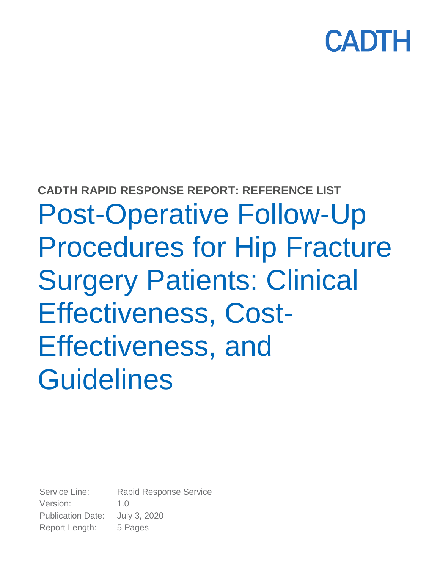# CADTI

# **CADTH RAPID RESPONSE REPORT: REFERENCE LIST** Post-Operative Follow-Up Procedures for Hip Fracture Surgery Patients: Clinical Effectiveness, Cost-Effectiveness, and Guidelines

Service Line: Rapid Response Service Version: 1.0 Publication Date: July 3, 2020 Report Length: 5 Pages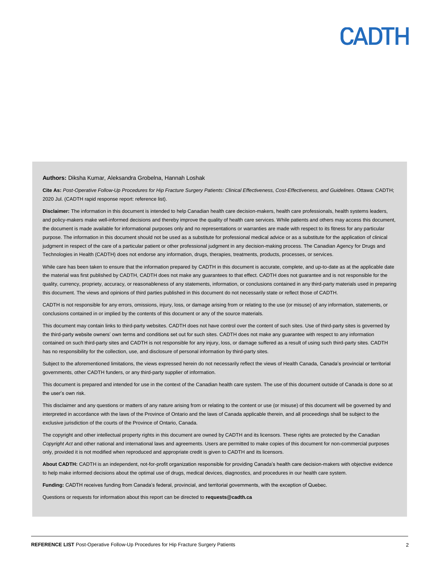

#### **Authors:** Diksha Kumar, Aleksandra Grobelna, Hannah Loshak

**Cite As:** *Post-Operative Follow-Up Procedures for Hip Fracture Surgery Patients: Clinical Effectiveness, Cost-Effectiveness, and Guidelines*. Ottawa: CADTH; 2020 Jul. (CADTH rapid response report: reference list).

**Disclaimer:** The information in this document is intended to help Canadian health care decision-makers, health care professionals, health systems leaders, and policy-makers make well-informed decisions and thereby improve the quality of health care services. While patients and others may access this document, the document is made available for informational purposes only and no representations or warranties are made with respect to its fitness for any particular purpose. The information in this document should not be used as a substitute for professional medical advice or as a substitute for the application of clinical judgment in respect of the care of a particular patient or other professional judgment in any decision-making process. The Canadian Agency for Drugs and Technologies in Health (CADTH) does not endorse any information, drugs, therapies, treatments, products, processes, or services.

While care has been taken to ensure that the information prepared by CADTH in this document is accurate, complete, and up-to-date as at the applicable date the material was first published by CADTH, CADTH does not make any guarantees to that effect. CADTH does not guarantee and is not responsible for the quality, currency, propriety, accuracy, or reasonableness of any statements, information, or conclusions contained in any third-party materials used in preparing this document. The views and opinions of third parties published in this document do not necessarily state or reflect those of CADTH.

CADTH is not responsible for any errors, omissions, injury, loss, or damage arising from or relating to the use (or misuse) of any information, statements, or conclusions contained in or implied by the contents of this document or any of the source materials.

This document may contain links to third-party websites. CADTH does not have control over the content of such sites. Use of third-party sites is governed by the third-party website owners' own terms and conditions set out for such sites. CADTH does not make any guarantee with respect to any information contained on such third-party sites and CADTH is not responsible for any injury, loss, or damage suffered as a result of using such third-party sites. CADTH has no responsibility for the collection, use, and disclosure of personal information by third-party sites.

Subject to the aforementioned limitations, the views expressed herein do not necessarily reflect the views of Health Canada, Canada's provincial or territorial governments, other CADTH funders, or any third-party supplier of information.

This document is prepared and intended for use in the context of the Canadian health care system. The use of this document outside of Canada is done so at the user's own risk.

This disclaimer and any questions or matters of any nature arising from or relating to the content or use (or misuse) of this document will be governed by and interpreted in accordance with the laws of the Province of Ontario and the laws of Canada applicable therein, and all proceedings shall be subject to the exclusive jurisdiction of the courts of the Province of Ontario, Canada.

The copyright and other intellectual property rights in this document are owned by CADTH and its licensors. These rights are protected by the Canadian *Copyright Act* and other national and international laws and agreements. Users are permitted to make copies of this document for non-commercial purposes only, provided it is not modified when reproduced and appropriate credit is given to CADTH and its licensors.

**About CADTH:** CADTH is an independent, not-for-profit organization responsible for providing Canada's health care decision-makers with objective evidence to help make informed decisions about the optimal use of drugs, medical devices, diagnostics, and procedures in our health care system.

**Funding:** CADTH receives funding from Canada's federal, provincial, and territorial governments, with the exception of Quebec.

Questions or requests for information about this report can be directed to **requests@cadth.ca**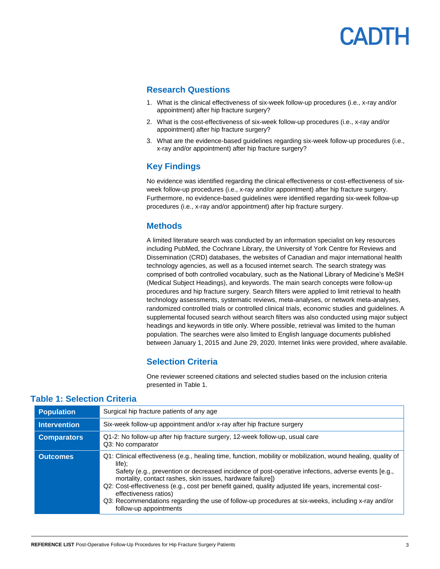## CADTH

### **Research Questions**

- 1. What is the clinical effectiveness of six-week follow-up procedures (i.e., x-ray and/or appointment) after hip fracture surgery?
- 2. What is the cost-effectiveness of six-week follow-up procedures (i.e., x-ray and/or appointment) after hip fracture surgery?
- 3. What are the evidence-based guidelines regarding six-week follow-up procedures (i.e., x-ray and/or appointment) after hip fracture surgery?

### **Key Findings**

No evidence was identified regarding the clinical effectiveness or cost-effectiveness of sixweek follow-up procedures (i.e., x-ray and/or appointment) after hip fracture surgery. Furthermore, no evidence-based guidelines were identified regarding six-week follow-up procedures (i.e., x-ray and/or appointment) after hip fracture surgery.

### **Methods**

A limited literature search was conducted by an information specialist on key resources including PubMed, the Cochrane Library, the University of York Centre for Reviews and Dissemination (CRD) databases, the websites of Canadian and major international health technology agencies, as well as a focused internet search. The search strategy was comprised of both controlled vocabulary, such as the National Library of Medicine's MeSH (Medical Subject Headings), and keywords. The main search concepts were follow-up procedures and hip fracture surgery. Search filters were applied to limit retrieval to health technology assessments, systematic reviews, meta-analyses, or network meta-analyses, randomized controlled trials or controlled clinical trials, economic studies and guidelines. A supplemental focused search without search filters was also conducted using major subject headings and keywords in title only. Where possible, retrieval was limited to the human population. The searches were also limited to English language documents published between January 1, 2015 and June 29, 2020. Internet links were provided, where available.

### **Selection Criteria**

One reviewer screened citations and selected studies based on the inclusion criteria presented in Table 1.

| <b>Population</b>   | Surgical hip fracture patients of any age                                                                                                                                                                                                                                                                                                                                                                                                                                                                                                                        |
|---------------------|------------------------------------------------------------------------------------------------------------------------------------------------------------------------------------------------------------------------------------------------------------------------------------------------------------------------------------------------------------------------------------------------------------------------------------------------------------------------------------------------------------------------------------------------------------------|
| <b>Intervention</b> | Six-week follow-up appointment and/or x-ray after hip fracture surgery                                                                                                                                                                                                                                                                                                                                                                                                                                                                                           |
| <b>Comparators</b>  | Q1-2: No follow-up after hip fracture surgery, 12-week follow-up, usual care<br>Q3: No comparator                                                                                                                                                                                                                                                                                                                                                                                                                                                                |
| <b>Outcomes</b>     | Q1: Clinical effectiveness (e.g., healing time, function, mobility or mobilization, wound healing, quality of<br>$life$ :<br>Safety (e.g., prevention or decreased incidence of post-operative infections, adverse events [e.g.,<br>mortality, contact rashes, skin issues, hardware failure])<br>Q2: Cost-effectiveness (e.g., cost per benefit gained, quality adjusted life years, incremental cost-<br>effectiveness ratios)<br>Q3: Recommendations regarding the use of follow-up procedures at six-weeks, including x-ray and/or<br>follow-up appointments |

### **Table 1: Selection Criteria**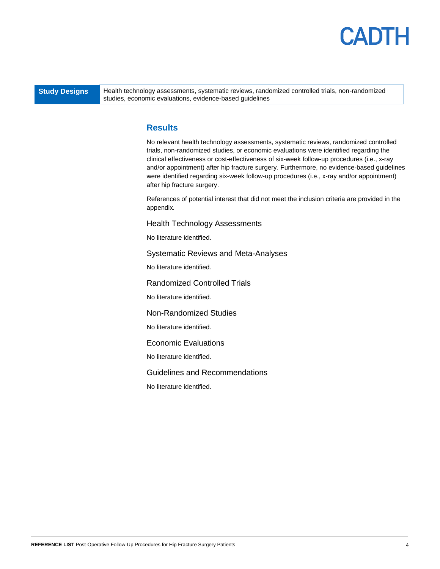### CADTH

**Study Designs** Health technology assessments, systematic reviews, randomized controlled trials, non-randomized studies, economic evaluations, evidence-based guidelines

### **Results**

No relevant health technology assessments, systematic reviews, randomized controlled trials, non-randomized studies, or economic evaluations were identified regarding the clinical effectiveness or cost-effectiveness of six-week follow-up procedures (i.e., x-ray and/or appointment) after hip fracture surgery. Furthermore, no evidence-based guidelines were identified regarding six-week follow-up procedures (i.e., x-ray and/or appointment) after hip fracture surgery.

References of potential interest that did not meet the inclusion criteria are provided in the appendix.

Health Technology Assessments

No literature identified.

Systematic Reviews and Meta-Analyses

No literature identified.

Randomized Controlled Trials

No literature identified.

Non-Randomized Studies

No literature identified.

Economic Evaluations

No literature identified.

Guidelines and Recommendations

No literature identified.